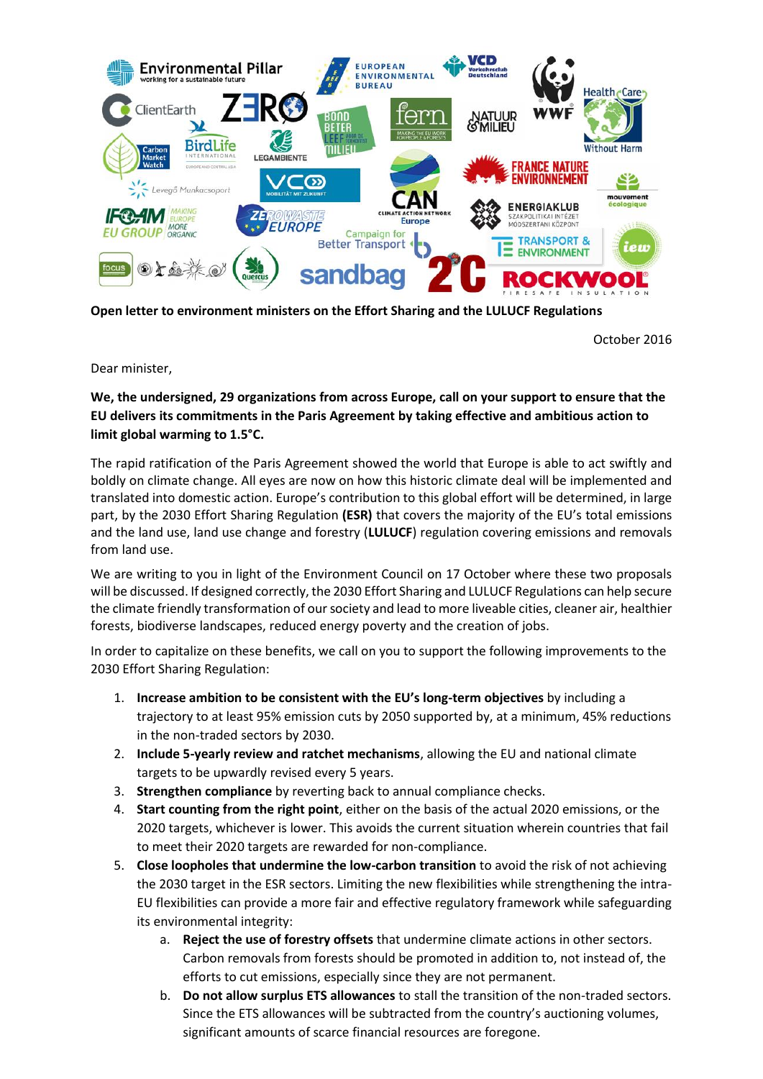

**Open letter to environment ministers on the Effort Sharing and the LULUCF Regulations**

October 2016

Dear minister,

## **We, the undersigned, 29 organizations from across Europe, call on your support to ensure that the EU delivers its commitments in the Paris Agreement by taking effective and ambitious action to limit global warming to 1.5°C.**

The rapid ratification of the Paris Agreement showed the world that Europe is able to act swiftly and boldly on climate change. All eyes are now on how this historic climate deal will be implemented and translated into domestic action. Europe's contribution to this global effort will be determined, in large part, by the 2030 Effort Sharing Regulation **(ESR)** that covers the majority of the EU's total emissions and the land use, land use change and forestry (**LULUCF**) regulation covering emissions and removals from land use.

We are writing to you in light of the Environment Council on 17 October where these two proposals will be discussed. If designed correctly, the 2030 Effort Sharing and LULUCF Regulations can help secure the climate friendly transformation of our society and lead to more liveable cities, cleaner air, healthier forests, biodiverse landscapes, reduced energy poverty and the creation of jobs.

In order to capitalize on these benefits, we call on you to support the following improvements to the 2030 Effort Sharing Regulation:

- 1. **Increase ambition to be consistent with the EU's long-term objectives** by including a trajectory to at least 95% emission cuts by 2050 supported by, at a minimum, 45% reductions in the non-traded sectors by 2030.
- 2. **Include 5-yearly review and ratchet mechanisms**, allowing the EU and national climate targets to be upwardly revised every 5 years.
- 3. **Strengthen compliance** by reverting back to annual compliance checks.
- 4. **Start counting from the right point**, either on the basis of the actual 2020 emissions, or the 2020 targets, whichever is lower. This avoids the current situation wherein countries that fail to meet their 2020 targets are rewarded for non-compliance.
- 5. **Close loopholes that undermine the low-carbon transition** to avoid the risk of not achieving the 2030 target in the ESR sectors. Limiting the new flexibilities while strengthening the intra-EU flexibilities can provide a more fair and effective regulatory framework while safeguarding its environmental integrity:
	- a. **Reject the use of forestry offsets** that undermine climate actions in other sectors. Carbon removals from forests should be promoted in addition to, not instead of, the efforts to cut emissions, especially since they are not permanent.
	- b. **Do not allow surplus ETS allowances** to stall the transition of the non-traded sectors. Since the ETS allowances will be subtracted from the country's auctioning volumes, significant amounts of scarce financial resources are foregone.